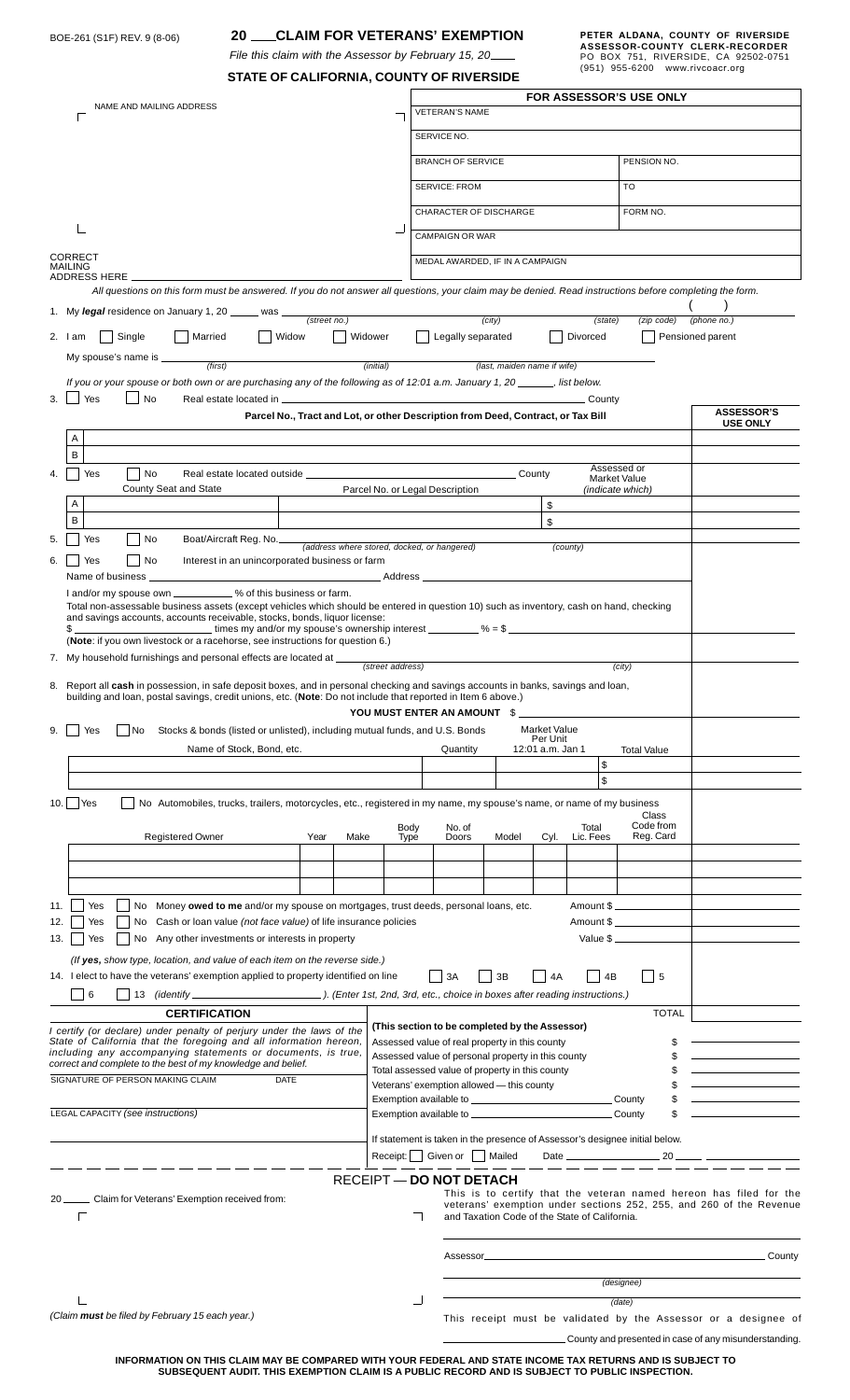| <b>CLAIM FOR VETERANS' EXEMPTION</b><br>20.<br>BOE-261 (S1F) REV. 9 (8-06)                                                                                                                                                                                                                                                                                                                                                                  |                                                                 |                                                                                                                                                                                         |                                                                                                                      |                          |                    |                                                                             | PETER ALDANA, COUNTY OF RIVERSIDE<br>ASSESSOR-COUNTY CLERK-RECORDER |  |
|---------------------------------------------------------------------------------------------------------------------------------------------------------------------------------------------------------------------------------------------------------------------------------------------------------------------------------------------------------------------------------------------------------------------------------------------|-----------------------------------------------------------------|-----------------------------------------------------------------------------------------------------------------------------------------------------------------------------------------|----------------------------------------------------------------------------------------------------------------------|--------------------------|--------------------|-----------------------------------------------------------------------------|---------------------------------------------------------------------|--|
| File this claim with the Assessor by February 15, 20____                                                                                                                                                                                                                                                                                                                                                                                    |                                                                 |                                                                                                                                                                                         |                                                                                                                      |                          |                    | (951) 955-6200 www.rivcoacr.org                                             | PO BOX 751, RIVERSIDE, CA 92502-0751                                |  |
| STATE OF CALIFORNIA, COUNTY OF RIVERSIDE<br><b>FOR ASSESSOR'S USE ONLY</b>                                                                                                                                                                                                                                                                                                                                                                  |                                                                 |                                                                                                                                                                                         |                                                                                                                      |                          |                    |                                                                             |                                                                     |  |
| NAME AND MAILING ADDRESS                                                                                                                                                                                                                                                                                                                                                                                                                    | VETERAN'S NAME                                                  |                                                                                                                                                                                         |                                                                                                                      |                          |                    |                                                                             |                                                                     |  |
|                                                                                                                                                                                                                                                                                                                                                                                                                                             |                                                                 | SERVICE NO.                                                                                                                                                                             |                                                                                                                      |                          |                    |                                                                             |                                                                     |  |
|                                                                                                                                                                                                                                                                                                                                                                                                                                             |                                                                 | <b>BRANCH OF SERVICE</b>                                                                                                                                                                |                                                                                                                      |                          |                    | PENSION NO.                                                                 |                                                                     |  |
|                                                                                                                                                                                                                                                                                                                                                                                                                                             |                                                                 | <b>TO</b><br><b>SERVICE: FROM</b>                                                                                                                                                       |                                                                                                                      |                          |                    |                                                                             |                                                                     |  |
|                                                                                                                                                                                                                                                                                                                                                                                                                                             |                                                                 | CHARACTER OF DISCHARGE                                                                                                                                                                  |                                                                                                                      |                          |                    | FORM NO.                                                                    |                                                                     |  |
|                                                                                                                                                                                                                                                                                                                                                                                                                                             |                                                                 | <b>CAMPAIGN OR WAR</b>                                                                                                                                                                  |                                                                                                                      |                          |                    |                                                                             |                                                                     |  |
| <b>CORRECT</b>                                                                                                                                                                                                                                                                                                                                                                                                                              |                                                                 | MEDAL AWARDED, IF IN A CAMPAIGN                                                                                                                                                         |                                                                                                                      |                          |                    |                                                                             |                                                                     |  |
| <b>MAILING</b><br>ADDRESS HERE<br>All questions on this form must be answered. If you do not answer all questions, your claim may be denied. Read instructions before completing the form.                                                                                                                                                                                                                                                  |                                                                 |                                                                                                                                                                                         |                                                                                                                      |                          |                    |                                                                             |                                                                     |  |
| 1. My legal residence on January 1, 20 _____ was ___                                                                                                                                                                                                                                                                                                                                                                                        |                                                                 |                                                                                                                                                                                         |                                                                                                                      |                          |                    |                                                                             |                                                                     |  |
| (street no.)                                                                                                                                                                                                                                                                                                                                                                                                                                |                                                                 |                                                                                                                                                                                         | (city)                                                                                                               |                          | (state)            | (zip code)                                                                  | (phone no.)                                                         |  |
| Single<br>Married<br>Widow<br>$2.$ $1am$<br>My spouse's name is _____                                                                                                                                                                                                                                                                                                                                                                       | Widower                                                         | Legally separated                                                                                                                                                                       |                                                                                                                      |                          | Divorced           |                                                                             | Pensioned parent                                                    |  |
| (first)<br>$(i$ nitial)<br>(last, maiden name if wife)                                                                                                                                                                                                                                                                                                                                                                                      |                                                                 |                                                                                                                                                                                         |                                                                                                                      |                          |                    |                                                                             |                                                                     |  |
| If you or your spouse or both own or are purchasing any of the following as of 12:01 a.m. January 1, 20 _____, list below.<br>Yes<br>3.<br>No                                                                                                                                                                                                                                                                                               |                                                                 |                                                                                                                                                                                         |                                                                                                                      |                          |                    |                                                                             |                                                                     |  |
| Parcel No., Tract and Lot, or other Description from Deed, Contract, or Tax Bill                                                                                                                                                                                                                                                                                                                                                            |                                                                 |                                                                                                                                                                                         |                                                                                                                      |                          |                    |                                                                             | <b>ASSESSOR'S</b><br><b>USE ONLY</b>                                |  |
| Α                                                                                                                                                                                                                                                                                                                                                                                                                                           |                                                                 |                                                                                                                                                                                         |                                                                                                                      |                          |                    |                                                                             |                                                                     |  |
| B<br>Yes<br>  No                                                                                                                                                                                                                                                                                                                                                                                                                            |                                                                 |                                                                                                                                                                                         | County                                                                                                               |                          |                    | Assessed or                                                                 |                                                                     |  |
| Real estate located outside _________<br>County Seat and State                                                                                                                                                                                                                                                                                                                                                                              | Parcel No. or Legal Description                                 |                                                                                                                                                                                         |                                                                                                                      |                          |                    | <b>Market Value</b><br>(indicate which)                                     |                                                                     |  |
| Α<br>B                                                                                                                                                                                                                                                                                                                                                                                                                                      |                                                                 |                                                                                                                                                                                         |                                                                                                                      | \$                       |                    |                                                                             |                                                                     |  |
| No<br>Yes<br>Boat/Aircraft Reg. No.<br>5.                                                                                                                                                                                                                                                                                                                                                                                                   |                                                                 |                                                                                                                                                                                         |                                                                                                                      | \$                       |                    |                                                                             |                                                                     |  |
| (address where stored, docked, or hangered)<br>No<br>Interest in an unincorporated business or farm<br>Yes<br>6.                                                                                                                                                                                                                                                                                                                            |                                                                 |                                                                                                                                                                                         |                                                                                                                      |                          | (county)           |                                                                             |                                                                     |  |
| Name of business _                                                                                                                                                                                                                                                                                                                                                                                                                          |                                                                 |                                                                                                                                                                                         |                                                                                                                      |                          |                    |                                                                             |                                                                     |  |
| I and/or my spouse own __________ % of this business or farm.<br>Total non-assessable business assets (except vehicles which should be entered in question 10) such as inventory, cash on hand, checking                                                                                                                                                                                                                                    |                                                                 |                                                                                                                                                                                         |                                                                                                                      |                          |                    |                                                                             |                                                                     |  |
| and savings accounts, accounts receivable, stocks, bonds, liquor license:<br>$\blacksquare$ times my and/or my spouse's ownership interest $\blacksquare$ % = \$<br>\$                                                                                                                                                                                                                                                                      |                                                                 |                                                                                                                                                                                         |                                                                                                                      |                          |                    |                                                                             |                                                                     |  |
| (Note: if you own livestock or a racehorse, see instructions for question 6.)                                                                                                                                                                                                                                                                                                                                                               |                                                                 |                                                                                                                                                                                         |                                                                                                                      |                          |                    |                                                                             |                                                                     |  |
| 7. My household furnishings and personal effects are located at _                                                                                                                                                                                                                                                                                                                                                                           | (street address)                                                |                                                                                                                                                                                         |                                                                                                                      |                          |                    | (city)                                                                      |                                                                     |  |
| 8. Report all cash in possession, in safe deposit boxes, and in personal checking and savings accounts in banks, savings and loan,<br>building and loan, postal savings, credit unions, etc. (Note: Do not include that reported in Item 6 above.)                                                                                                                                                                                          |                                                                 |                                                                                                                                                                                         |                                                                                                                      |                          |                    |                                                                             |                                                                     |  |
|                                                                                                                                                                                                                                                                                                                                                                                                                                             |                                                                 | YOU MUST ENTER AN AMOUNT \$                                                                                                                                                             |                                                                                                                      |                          |                    |                                                                             |                                                                     |  |
| No<br>Stocks & bonds (listed or unlisted), including mutual funds, and U.S. Bonds<br>9.<br>Yes                                                                                                                                                                                                                                                                                                                                              |                                                                 |                                                                                                                                                                                         |                                                                                                                      | Market Value<br>Per Unit |                    |                                                                             |                                                                     |  |
| Name of Stock, Bond, etc.                                                                                                                                                                                                                                                                                                                                                                                                                   |                                                                 | Quantity                                                                                                                                                                                |                                                                                                                      | 12:01 a.m. Jan 1         | \$                 | <b>Total Value</b>                                                          |                                                                     |  |
|                                                                                                                                                                                                                                                                                                                                                                                                                                             |                                                                 |                                                                                                                                                                                         |                                                                                                                      |                          | \$                 |                                                                             |                                                                     |  |
| $10.$ Yes<br>No Automobiles, trucks, trailers, motorcycles, etc., registered in my name, my spouse's name, or name of my business<br>Class                                                                                                                                                                                                                                                                                                  |                                                                 |                                                                                                                                                                                         |                                                                                                                      |                          |                    |                                                                             |                                                                     |  |
| Registered Owner<br>Year<br>Make                                                                                                                                                                                                                                                                                                                                                                                                            | Body<br><b>Type</b>                                             | No. of<br>Doors                                                                                                                                                                         | Model                                                                                                                | Cyl.                     | Total<br>Lic. Fees | Code from<br>Reg. Card                                                      |                                                                     |  |
|                                                                                                                                                                                                                                                                                                                                                                                                                                             |                                                                 |                                                                                                                                                                                         |                                                                                                                      |                          |                    |                                                                             |                                                                     |  |
|                                                                                                                                                                                                                                                                                                                                                                                                                                             |                                                                 |                                                                                                                                                                                         |                                                                                                                      |                          |                    |                                                                             |                                                                     |  |
|                                                                                                                                                                                                                                                                                                                                                                                                                                             |                                                                 |                                                                                                                                                                                         |                                                                                                                      |                          |                    |                                                                             |                                                                     |  |
| Amount \$<br>Yes<br>No Money owed to me and/or my spouse on mortgages, trust deeds, personal loans, etc.<br>11.<br>Amount \$<br>No Cash or loan value (not face value) of life insurance policies<br>12.<br>Yes                                                                                                                                                                                                                             |                                                                 |                                                                                                                                                                                         |                                                                                                                      |                          |                    |                                                                             |                                                                     |  |
| No Any other investments or interests in property<br>Value \$<br>13.<br>Yes                                                                                                                                                                                                                                                                                                                                                                 |                                                                 |                                                                                                                                                                                         |                                                                                                                      |                          |                    |                                                                             |                                                                     |  |
| (If yes, show type, location, and value of each item on the reverse side.)<br>4B                                                                                                                                                                                                                                                                                                                                                            |                                                                 |                                                                                                                                                                                         |                                                                                                                      |                          |                    |                                                                             |                                                                     |  |
| 14. I elect to have the veterans' exemption applied to property identified on line<br>6<br>$\mathcal{L}$                                                                                                                                                                                                                                                                                                                                    |                                                                 | 3A                                                                                                                                                                                      | 3B                                                                                                                   | 4A                       |                    | -5                                                                          |                                                                     |  |
| <b>CERTIFICATION</b>                                                                                                                                                                                                                                                                                                                                                                                                                        |                                                                 |                                                                                                                                                                                         |                                                                                                                      |                          |                    | <b>TOTAL</b>                                                                |                                                                     |  |
| (This section to be completed by the Assessor)<br>I certify (or declare) under penalty of perjury under the laws of the<br>State of California that the foregoing and all information hereon,<br>Assessed value of real property in this county<br>including any accompanying statements or documents, is true,<br>Assessed value of personal property in this county<br>\$<br>correct and complete to the best of my knowledge and belief. |                                                                 |                                                                                                                                                                                         |                                                                                                                      |                          |                    |                                                                             |                                                                     |  |
|                                                                                                                                                                                                                                                                                                                                                                                                                                             |                                                                 |                                                                                                                                                                                         |                                                                                                                      |                          |                    | the control of the control of the control of                                |                                                                     |  |
| SIGNATURE OF PERSON MAKING CLAIM<br><b>DATE</b>                                                                                                                                                                                                                                                                                                                                                                                             |                                                                 | Total assessed value of property in this county<br>the control of the control of the control<br><u> 1989 - Johann Barn, mars ann an t-</u><br>Veterans' exemption allowed - this county |                                                                                                                      |                          |                    |                                                                             |                                                                     |  |
|                                                                                                                                                                                                                                                                                                                                                                                                                                             |                                                                 |                                                                                                                                                                                         | <u> 1989 - Jan Stein Stein Stein Stein Stein Stein Stein Stein Stein Stein Stein Stein Stein Stein Stein Stein S</u> |                          |                    |                                                                             |                                                                     |  |
| <b>LEGAL CAPACITY (see instructions)</b>                                                                                                                                                                                                                                                                                                                                                                                                    | County<br>\$                                                    |                                                                                                                                                                                         |                                                                                                                      |                          |                    |                                                                             |                                                                     |  |
|                                                                                                                                                                                                                                                                                                                                                                                                                                             |                                                                 |                                                                                                                                                                                         |                                                                                                                      |                          |                    | If statement is taken in the presence of Assessor's designee initial below. |                                                                     |  |
| Receipt: Given or Mailed                                                                                                                                                                                                                                                                                                                                                                                                                    |                                                                 |                                                                                                                                                                                         |                                                                                                                      |                          |                    |                                                                             |                                                                     |  |
| <b>RECEIPT-DO NOT DETACH</b><br>This is to certify that the veteran named hereon has filed for the                                                                                                                                                                                                                                                                                                                                          |                                                                 |                                                                                                                                                                                         |                                                                                                                      |                          |                    |                                                                             |                                                                     |  |
| 20 _______ Claim for Veterans' Exemption received from:<br>veterans' exemption under sections 252, 255, and 260 of the Revenue<br>and Taxation Code of the State of California.<br>г                                                                                                                                                                                                                                                        |                                                                 |                                                                                                                                                                                         |                                                                                                                      |                          |                    |                                                                             |                                                                     |  |
|                                                                                                                                                                                                                                                                                                                                                                                                                                             |                                                                 |                                                                                                                                                                                         |                                                                                                                      |                          |                    |                                                                             |                                                                     |  |
|                                                                                                                                                                                                                                                                                                                                                                                                                                             |                                                                 | Assessor_                                                                                                                                                                               |                                                                                                                      |                          |                    |                                                                             | County                                                              |  |
|                                                                                                                                                                                                                                                                                                                                                                                                                                             |                                                                 | (designee)                                                                                                                                                                              |                                                                                                                      |                          |                    |                                                                             |                                                                     |  |
| (date)                                                                                                                                                                                                                                                                                                                                                                                                                                      |                                                                 |                                                                                                                                                                                         |                                                                                                                      |                          |                    |                                                                             |                                                                     |  |
| (Claim must be filed by February 15 each year.)                                                                                                                                                                                                                                                                                                                                                                                             | This receipt must be validated by the Assessor or a designee of |                                                                                                                                                                                         |                                                                                                                      |                          |                    |                                                                             |                                                                     |  |
|                                                                                                                                                                                                                                                                                                                                                                                                                                             | County and presented in case of any misunderstanding.           |                                                                                                                                                                                         |                                                                                                                      |                          |                    |                                                                             |                                                                     |  |

**INFORMATION ON THIS CLAIM MAY BE COMPARED WITH YOUR FEDERAL AND STATE INCOME TAX RETURNS AND IS SUBJECT TO SUBSEQUENT AUDIT. THIS EXEMPTION CLAIM IS A PUBLIC RECORD AND IS SUBJECT TO PUBLIC INSPECTION.**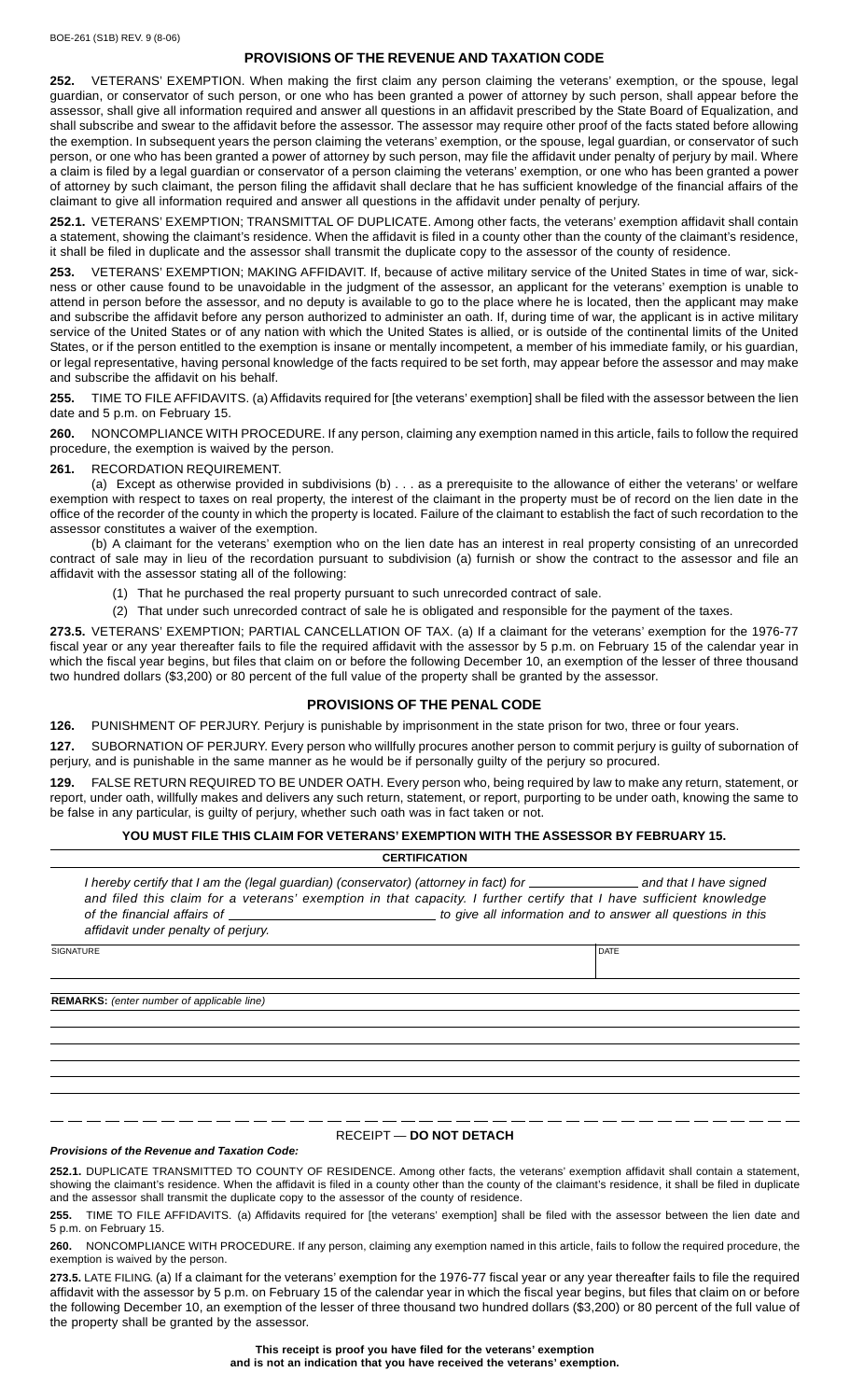# **PROVISIONS OF THE REVENUE AND TAXATION CODE**

**252.** VETERANS' EXEMPTION. When making the first claim any person claiming the veterans' exemption, or the spouse, legal guardian, or conservator of such person, or one who has been granted a power of attorney by such person, shall appear before the assessor, shall give all information required and answer all questions in an affidavit prescribed by the State Board of Equalization, and shall subscribe and swear to the affidavit before the assessor. The assessor may require other proof of the facts stated before allowing the exemption. In subsequent years the person claiming the veterans' exemption, or the spouse, legal guardian, or conservator of such person, or one who has been granted a power of attorney by such person, may file the affidavit under penalty of perjury by mail. Where a claim is filed by a legal guardian or conservator of a person claiming the veterans' exemption, or one who has been granted a power of attorney by such claimant, the person filing the affidavit shall declare that he has sufficient knowledge of the financial affairs of the claimant to give all information required and answer all questions in the affidavit under penalty of perjury.

**252.1.** VETERANS' EXEMPTION; TRANSMITTAL OF DUPLICATE. Among other facts, the veterans' exemption affidavit shall contain a statement, showing the claimant's residence. When the affidavit is filed in a county other than the county of the claimant's residence, it shall be filed in duplicate and the assessor shall transmit the duplicate copy to the assessor of the county of residence.

**253.** VETERANS' EXEMPTION; MAKING AFFIDAVIT. If, because of active military service of the United States in time of war, sickness or other cause found to be unavoidable in the judgment of the assessor, an applicant for the veterans' exemption is unable to attend in person before the assessor, and no deputy is available to go to the place where he is located, then the applicant may make and subscribe the affidavit before any person authorized to administer an oath. If, during time of war, the applicant is in active military service of the United States or of any nation with which the United States is allied, or is outside of the continental limits of the United States, or if the person entitled to the exemption is insane or mentally incompetent, a member of his immediate family, or his guardian, or legal representative, having personal knowledge of the facts required to be set forth, may appear before the assessor and may make and subscribe the affidavit on his behalf.

**255.** TIME TO FILE AFFIDAVITS. (a) Affidavits required for [the veterans' exemption] shall be filed with the assessor between the lien date and 5 p.m. on February 15.

**260.** NONCOMPLIANCE WITH PROCEDURE. If any person, claiming any exemption named in this article, fails to follow the required procedure, the exemption is waived by the person.

**261.** RECORDATION REQUIREMENT.

(a) Except as otherwise provided in subdivisions (b) . . . as a prerequisite to the allowance of either the veterans' or welfare exemption with respect to taxes on real property, the interest of the claimant in the property must be of record on the lien date in the office of the recorder of the county in which the property is located. Failure of the claimant to establish the fact of such recordation to the assessor constitutes a waiver of the exemption.

(b) A claimant for the veterans' exemption who on the lien date has an interest in real property consisting of an unrecorded contract of sale may in lieu of the recordation pursuant to subdivision (a) furnish or show the contract to the assessor and file an affidavit with the assessor stating all of the following:

(1) That he purchased the real property pursuant to such unrecorded contract of sale.

(2) That under such unrecorded contract of sale he is obligated and responsible for the payment of the taxes.

**273.5.** VETERANS' EXEMPTION; PARTIAL CANCELLATION OF TAX. (a) If a claimant for the veterans' exemption for the 1976-77 fiscal year or any year thereafter fails to file the required affidavit with the assessor by 5 p.m. on February 15 of the calendar year in which the fiscal year begins, but files that claim on or before the following December 10, an exemption of the lesser of three thousand two hundred dollars (\$3,200) or 80 percent of the full value of the property shall be granted by the assessor.

## **PROVISIONS OF THE PENAL CODE**

**126.** PUNISHMENT OF PERJURY. Perjury is punishable by imprisonment in the state prison for two, three or four years.

**127.** SUBORNATION OF PERJURY. Every person who willfully procures another person to commit perjury is guilty of subornation of perjury, and is punishable in the same manner as he would be if personally guilty of the perjury so procured.

**129.** FALSE RETURN REQUIRED TO BE UNDER OATH. Every person who, being required by law to make any return, statement, or report, under oath, willfully makes and delivers any such return, statement, or report, purporting to be under oath, knowing the same to be false in any particular, is guilty of perjury, whether such oath was in fact taken or not.

#### **YOU MUST FILE THIS CLAIM FOR VETERANS' EXEMPTION WITH THE ASSESSOR BY FEBRUARY 15.**

| <b>CERTIFICATION</b>                                                                                                                                                                                                                                                                                                                                                                           |             |  |  |  |  |  |  |
|------------------------------------------------------------------------------------------------------------------------------------------------------------------------------------------------------------------------------------------------------------------------------------------------------------------------------------------------------------------------------------------------|-------------|--|--|--|--|--|--|
| I hereby certify that I am the (legal guardian) (conservator) (attorney in fact) for <b>constantly an andar that I have signed</b><br>and filed this claim for a veterans' exemption in that capacity. I further certify that I have sufficient knowledge<br>to give all information and to answer all questions in this<br>of the financial affairs of<br>affidavit under penalty of perjury. |             |  |  |  |  |  |  |
| <b>SIGNATURE</b>                                                                                                                                                                                                                                                                                                                                                                               | <b>DATE</b> |  |  |  |  |  |  |
|                                                                                                                                                                                                                                                                                                                                                                                                |             |  |  |  |  |  |  |
| <b>REMARKS:</b> (enter number of applicable line)                                                                                                                                                                                                                                                                                                                                              |             |  |  |  |  |  |  |
|                                                                                                                                                                                                                                                                                                                                                                                                |             |  |  |  |  |  |  |
|                                                                                                                                                                                                                                                                                                                                                                                                |             |  |  |  |  |  |  |
|                                                                                                                                                                                                                                                                                                                                                                                                |             |  |  |  |  |  |  |
|                                                                                                                                                                                                                                                                                                                                                                                                |             |  |  |  |  |  |  |
|                                                                                                                                                                                                                                                                                                                                                                                                |             |  |  |  |  |  |  |

### RECEIPT — **DO NOT DETACH**

### *Provisions of the Revenue and Taxation Code:*

**252.1.** DUPLICATE TRANSMITTED TO COUNTY OF RESIDENCE. Among other facts, the veterans' exemption affidavit shall contain a statement, showing the claimant's residence. When the affidavit is filed in a county other than the county of the claimant's residence, it shall be filed in duplicate and the assessor shall transmit the duplicate copy to the assessor of the county of residence.

**255.** TIME TO FILE AFFIDAVITS. (a) Affidavits required for [the veterans' exemption] shall be filed with the assessor between the lien date and 5 p.m. on February 15.

**260.** NONCOMPLIANCE WITH PROCEDURE. If any person, claiming any exemption named in this article, fails to follow the required procedure, the exemption is waived by the person.

273.5. LATE FILING. (a) If a claimant for the veterans' exemption for the 1976-77 fiscal year or any year thereafter fails to file the required affidavit with the assessor by 5 p.m. on February 15 of the calendar year in which the fiscal year begins, but files that claim on or before the following December 10, an exemption of the lesser of three thousand two hundred dollars (\$3,200) or 80 percent of the full value of the property shall be granted by the assessor.

> **This receipt is proof you have filed for the veterans' exemption and is not an indication that you have received the veterans' exemption.**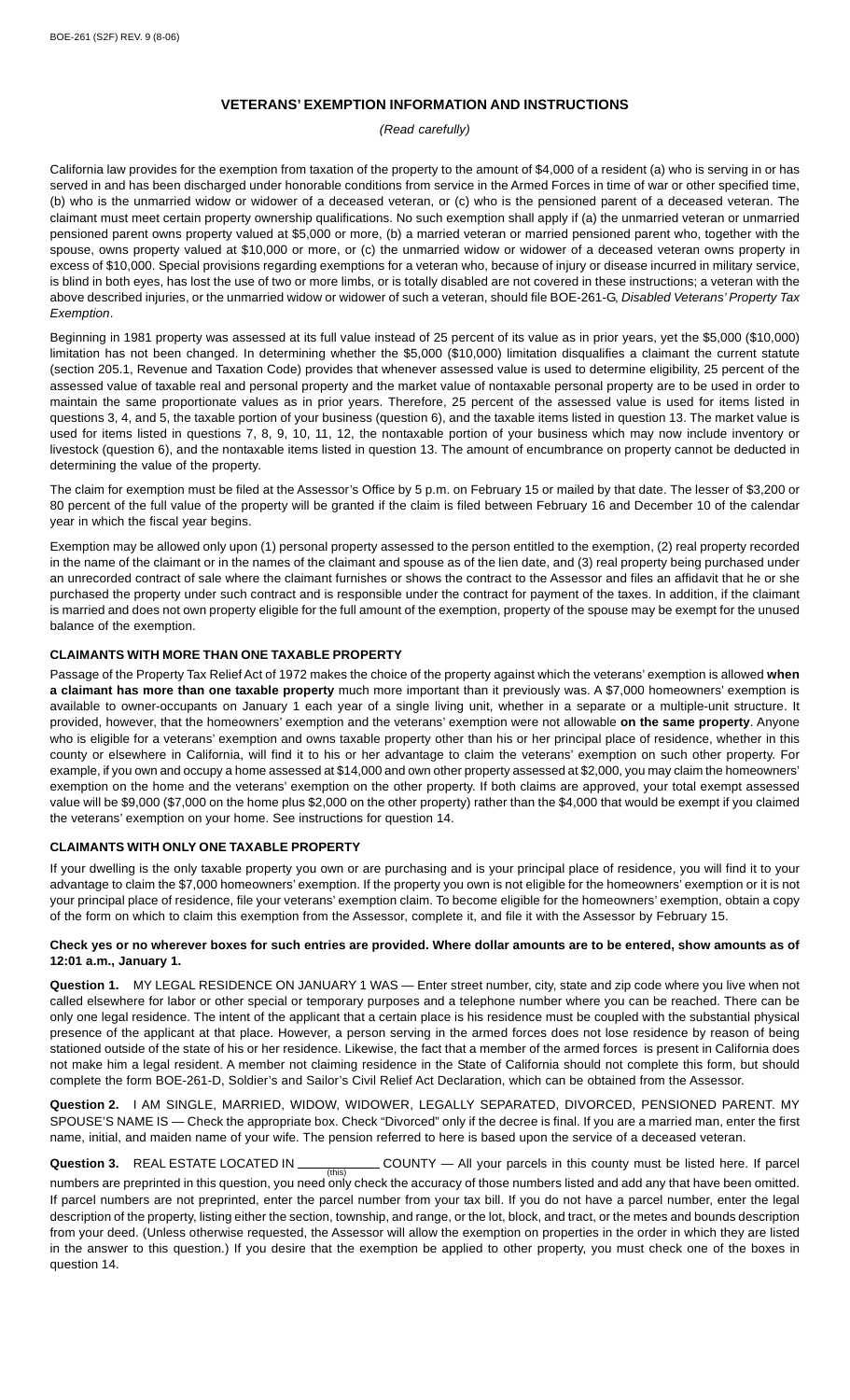# **VETERANS' EXEMPTION INFORMATION AND INSTRUCTIONS**

*(Read carefully)*

California law provides for the exemption from taxation of the property to the amount of \$4,000 of a resident (a) who is serving in or has served in and has been discharged under honorable conditions from service in the Armed Forces in time of war or other specified time, (b) who is the unmarried widow or widower of a deceased veteran, or (c) who is the pensioned parent of a deceased veteran. The claimant must meet certain property ownership qualifications. No such exemption shall apply if (a) the unmarried veteran or unmarried pensioned parent owns property valued at \$5,000 or more, (b) a married veteran or married pensioned parent who, together with the spouse, owns property valued at \$10,000 or more, or (c) the unmarried widow or widower of a deceased veteran owns property in excess of \$10,000. Special provisions regarding exemptions for a veteran who, because of injury or disease incurred in military service, is blind in both eyes, has lost the use of two or more limbs, or is totally disabled are not covered in these instructions; a veteran with the above described injuries, or the unmarried widow or widower of such a veteran, should file BOE-261-G, *Disabled Veterans' Property Tax Exemption*.

Beginning in 1981 property was assessed at its full value instead of 25 percent of its value as in prior years, yet the \$5,000 (\$10,000) limitation has not been changed. In determining whether the \$5,000 (\$10,000) limitation disqualifies a claimant the current statute (section 205.1, Revenue and Taxation Code) provides that whenever assessed value is used to determine eligibility, 25 percent of the assessed value of taxable real and personal property and the market value of nontaxable personal property are to be used in order to maintain the same proportionate values as in prior years. Therefore, 25 percent of the assessed value is used for items listed in questions 3, 4, and 5, the taxable portion of your business (question 6), and the taxable items listed in question 13. The market value is used for items listed in questions 7, 8, 9, 10, 11, 12, the nontaxable portion of your business which may now include inventory or livestock (question 6), and the nontaxable items listed in question 13. The amount of encumbrance on property cannot be deducted in determining the value of the property.

The claim for exemption must be filed at the Assessor's Office by 5 p.m. on February 15 or mailed by that date. The lesser of \$3,200 or 80 percent of the full value of the property will be granted if the claim is filed between February 16 and December 10 of the calendar year in which the fiscal year begins.

Exemption may be allowed only upon (1) personal property assessed to the person entitled to the exemption, (2) real property recorded in the name of the claimant or in the names of the claimant and spouse as of the lien date, and (3) real property being purchased under an unrecorded contract of sale where the claimant furnishes or shows the contract to the Assessor and files an affidavit that he or she purchased the property under such contract and is responsible under the contract for payment of the taxes. In addition, if the claimant is married and does not own property eligible for the full amount of the exemption, property of the spouse may be exempt for the unused balance of the exemption.

## **CLAIMANTS WITH MORE THAN ONE TAXABLE PROPERTY**

Passage of the Property Tax Relief Act of 1972 makes the choice of the property against which the veterans' exemption is allowed **when a claimant has more than one taxable property** much more important than it previously was. A \$7,000 homeowners' exemption is available to owner-occupants on January 1 each year of a single living unit, whether in a separate or a multiple-unit structure. It provided, however, that the homeowners' exemption and the veterans' exemption were not allowable **on the same property**. Anyone who is eligible for a veterans' exemption and owns taxable property other than his or her principal place of residence, whether in this county or elsewhere in California, will find it to his or her advantage to claim the veterans' exemption on such other property. For example, if you own and occupy a home assessed at \$14,000 and own other property assessed at \$2,000, you may claim the homeowners' exemption on the home and the veterans' exemption on the other property. If both claims are approved, your total exempt assessed value will be \$9,000 (\$7,000 on the home plus \$2,000 on the other property) rather than the \$4,000 that would be exempt if you claimed the veterans' exemption on your home. See instructions for question 14.

## **CLAIMANTS WITH ONLY ONE TAXABLE PROPERTY**

If your dwelling is the only taxable property you own or are purchasing and is your principal place of residence, you will find it to your advantage to claim the \$7,000 homeowners' exemption. If the property you own is not eligible for the homeowners' exemption or it is not your principal place of residence, file your veterans' exemption claim. To become eligible for the homeowners' exemption, obtain a copy of the form on which to claim this exemption from the Assessor, complete it, and file it with the Assessor by February 15.

## **Check yes or no wherever boxes for such entries are provided. Where dollar amounts are to be entered, show amounts as of 12:01 a.m., January 1.**

**Question 1.** MY LEGAL RESIDENCE ON JANUARY 1 WAS — Enter street number, city, state and zip code where you live when not called elsewhere for labor or other special or temporary purposes and a telephone number where you can be reached. There can be only one legal residence. The intent of the applicant that a certain place is his residence must be coupled with the substantial physical presence of the applicant at that place. However, a person serving in the armed forces does not lose residence by reason of being stationed outside of the state of his or her residence. Likewise, the fact that a member of the armed forces is present in California does not make him a legal resident. A member not claiming residence in the State of California should not complete this form, but should complete the form BOE-261-D, Soldier's and Sailor's Civil Relief Act Declaration, which can be obtained from the Assessor.

**Question 2.** I AM SINGLE, MARRIED, WIDOW, WIDOWER, LEGALLY SEPARATED, DIVORCED, PENSIONED PARENT. MY SPOUSE'S NAME IS — Check the appropriate box. Check "Divorced" only if the decree is final. If you are a married man, enter the first name, initial, and maiden name of your wife. The pension referred to here is based upon the service of a deceased veteran.

**Question 3.** REAL ESTATE LOCATED IN COUNTY — All your parcels in this county must be listed here. If parcel (this)<br>numbers are preprinted in this question, you need only check the accuracy of those numbers listed and add any that have been omitted. If parcel numbers are not preprinted, enter the parcel number from your tax bill. If you do not have a parcel number, enter the legal description of the property, listing either the section, township, and range, or the lot, block, and tract, or the metes and bounds description from your deed. (Unless otherwise requested, the Assessor will allow the exemption on properties in the order in which they are listed in the answer to this question.) If you desire that the exemption be applied to other property, you must check one of the boxes in question 14.